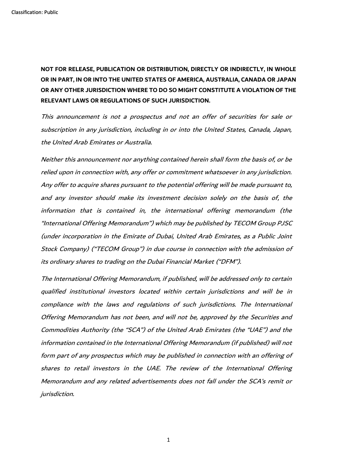**NOT FOR RELEASE, PUBLICATION OR DISTRIBUTION, DIRECTLY OR INDIRECTLY, IN WHOLE OR IN PART, IN OR INTO THE UNITED STATES OF AMERICA, AUSTRALIA, CANADA OR JAPAN OR ANY OTHER JURISDICTION WHERE TO DO SO MIGHT CONSTITUTE A VIOLATION OF THE RELEVANT LAWS OR REGULATIONS OF SUCH JURISDICTION.**

This announcement is not a prospectus and not an offer of securities for sale or subscription in any jurisdiction, including in or into the United States, Canada, Japan, the United Arab Emirates or Australia.

Neither this announcement nor anything contained herein shall form the basis of, or be relied upon in connection with, any offer or commitment whatsoever in any jurisdiction. Any offer to acquire shares pursuant to the potential offering will be made pursuant to, and any investor should make its investment decision solely on the basis of, the information that is contained in, the international offering memorandum (the "International Offering Memorandum") which may be published by TECOM Group PJSC (under incorporation in the Emirate of Dubai, United Arab Emirates, as a Public Joint Stock Company) ("TECOM Group") in due course in connection with the admission of its ordinary shares to trading on the Dubai Financial Market ("DFM").

The International Offering Memorandum, if published, will be addressed only to certain qualified institutional investors located within certain jurisdictions and will be in compliance with the laws and regulations of such jurisdictions. The International Offering Memorandum has not been, and will not be, approved by the Securities and Commodities Authority (the "SCA") of the United Arab Emirates (the "UAE") and the information contained in the International Offering Memorandum (if published) will not form part of any prospectus which may be published in connection with an offering of shares to retail investors in the UAE. The review of the International Offering Memorandum and any related advertisements does not fall under the SCA's remit or jurisdiction.

1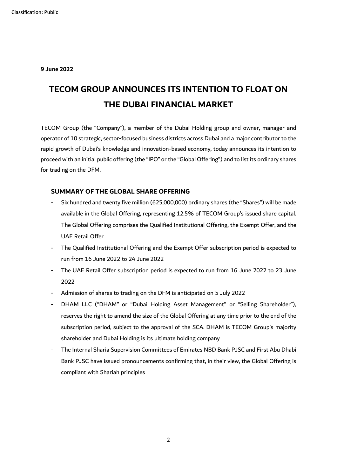**9 June 2022**

# **TECOM GROUP ANNOUNCES ITS INTENTION TO FLOAT ON THE DUBAI FINANCIAL MARKET**

TECOM Group (the "Company"), a member of the Dubai Holding group and owner, manager and operator of 10 strategic, sector-focused business districts across Dubai and a major contributor to the rapid growth of Dubai's knowledge and innovation-based economy, today announces its intention to proceed with an initial public offering (the "IPO" or the "Global Offering") and to list its ordinary shares for trading on the DFM.

### **SUMMARY OF THE GLOBAL SHARE OFFERING**

- Six hundred and twenty five million (625,000,000) ordinary shares (the "Shares") will be made available in the Global Offering, representing 12.5% of TECOM Group's issued share capital. The Global Offering comprises the Qualified Institutional Offering, the Exempt Offer, and the UAE Retail Offer
- The Qualified Institutional Offering and the Exempt Offer subscription period is expected to run from 16 June 2022 to 24 June 2022
- The UAE Retail Offer subscription period is expected to run from 16 June 2022 to 23 June 2022
- Admission of shares to trading on the DFM is anticipated on 5 July 2022
- DHAM LLC ("DHAM" or "Dubai Holding Asset Management" or "Selling Shareholder"), reserves the right to amend the size of the Global Offering at any time prior to the end of the subscription period, subject to the approval of the SCA. DHAM is TECOM Group's majority shareholder and Dubai Holding is its ultimate holding company
- The Internal Sharia Supervision Committees of Emirates NBD Bank PJSC and First Abu Dhabi Bank PJSC have issued pronouncements confirming that, in their view, the Global Offering is compliant with Shariah principles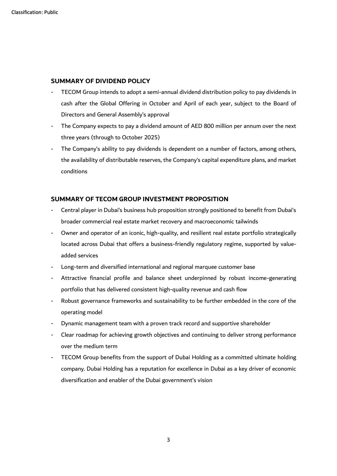### **SUMMARY OF DIVIDEND POLICY**

- TECOM Group intends to adopt a semi-annual dividend distribution policy to pay dividends in cash after the Global Offering in October and April of each year, subject to the Board of Directors and General Assembly's approval
- The Company expects to pay a dividend amount of AED 800 million per annum over the next three years (through to October 2025)
- The Company's ability to pay dividends is dependent on a number of factors, among others, the availability of distributable reserves, the Company's capital expenditure plans, and market conditions

### **SUMMARY OF TECOM GROUP INVESTMENT PROPOSITION**

- Central player in Dubai's business hub proposition strongly positioned to benefit from Dubai's broader commercial real estate market recovery and macroeconomic tailwinds
- Owner and operator of an iconic, high-quality, and resilient real estate portfolio strategically located across Dubai that offers a business-friendly regulatory regime, supported by valueadded services
- Long-term and diversified international and regional marquee customer base
- Attractive financial profile and balance sheet underpinned by robust income-generating portfolio that has delivered consistent high-quality revenue and cash flow
- Robust governance frameworks and sustainability to be further embedded in the core of the operating model
- Dynamic management team with a proven track record and supportive shareholder
- Clear roadmap for achieving growth objectives and continuing to deliver strong performance over the medium term
- TECOM Group benefits from the support of Dubai Holding as a committed ultimate holding company. Dubai Holding has a reputation for excellence in Dubai as a key driver of economic diversification and enabler of the Dubai government's vision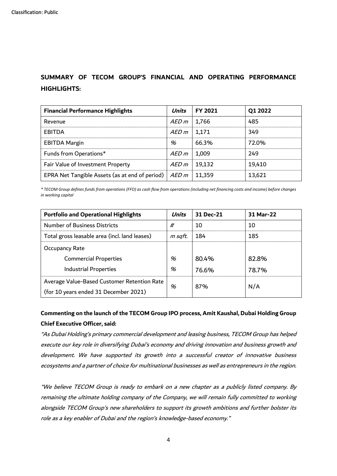# **SUMMARY OF TECOM GROUP'S FINANCIAL AND OPERATING PERFORMANCE HIGHLIGHTS:**

| <b>Financial Performance Highlights</b>                         | Units | <b>FY 2021</b> | Q1 2022 |
|-----------------------------------------------------------------|-------|----------------|---------|
| Revenue                                                         | AED m | 1,766          | 485     |
| <b>EBITDA</b>                                                   | AED m | 1,171          | 349     |
| <b>EBITDA Margin</b>                                            | %     | 66.3%          | 72.0%   |
| Funds from Operations*                                          | AED m | 1,009          | 249     |
| Fair Value of Investment Property                               | AED m | 19,132         | 19,410  |
| EPRA Net Tangible Assets (as at end of period) $ $ <i>AED m</i> |       | 11,359         | 13,621  |

*\* TECOM Group defines funds from operations (FFO) as cash flow from operations (including net financing costs and income) before changes in working capital*

| <b>Portfolio and Operational Highlights</b>   | Units   | 31 Dec-21 | 31 Mar-22 |
|-----------------------------------------------|---------|-----------|-----------|
| <b>Number of Business Districts</b>           | #       | 10        | 10        |
| Total gross leasable area (incl. land leases) | m sqft. | 184       | 185       |
| <b>Occupancy Rate</b>                         |         |           |           |
| <b>Commercial Properties</b>                  | %       | 80.4%     | 82.8%     |
| <b>Industrial Properties</b>                  | %       | 76.6%     | 78.7%     |
| Average Value-Based Customer Retention Rate   | %       | 87%       | N/A       |
| (for 10 years ended 31 December 2021)         |         |           |           |

# **Commenting on the launch of the TECOM Group IPO process, Amit Kaushal, Dubai Holding Group Chief Executive Officer, said:**

"As Dubai Holding's primary commercial development and leasing business, TECOM Group has helped execute our key role in diversifying Dubai's economy and driving innovation and business growth and development. We have supported its growth into a successful creator of innovative business ecosystems and a partner of choice for multinational businesses as well as entrepreneurs in the region.

"We believe TECOM Group is ready to embark on a new chapter as a publicly listed company. By remaining the ultimate holding company of the Company, we will remain fully committed to working alongside TECOM Group's new shareholders to support its growth ambitions and further bolster its role as a key enabler of Dubai and the region's knowledge-based economy."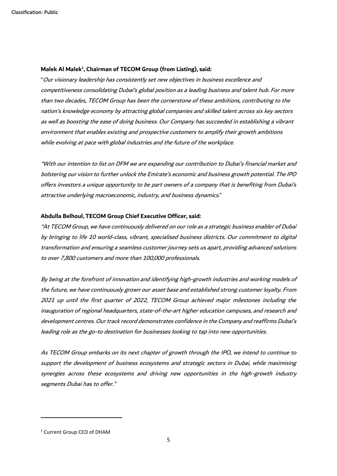#### **Malek Al Malek<sup>1</sup> , Chairman of TECOM Group (from Listing), said:**

"Our visionary leadership has consistently set new objectives in business excellence and competitiveness consolidating Dubai's global position as a leading business and talent hub. For more than two decades, TECOM Group has been the cornerstone of these ambitions, contributing to the nation's knowledge economy by attracting global companies and skilled talent across six key sectors as well as boosting the ease of doing business. Our Company has succeeded in establishing a vibrant environment that enables existing and prospective customers to amplify their growth ambitions while evolving at pace with global industries and the future of the workplace.

"With our intention to list on DFM we are expanding our contribution to Dubai's financial market and bolstering our vision to further unlock the Emirate's economic and business growth potential. The IPO offers investors a unique opportunity to be part owners of a company that is benefiting from Dubai's attractive underlying macroeconomic, industry, and business dynamics."

#### **Abdulla Belhoul, TECOM Group Chief Executive Officer, said:**

"At TECOM Group, we have continuously delivered on our role as a strategic business enabler of Dubai by bringing to life 10 world-class, vibrant, specialised business districts. Our commitment to digital transformation and ensuring a seamless customer journey sets us apart, providing advanced solutions to over 7,800 customers and more than 100,000 professionals.

By being at the forefront of innovation and identifying high-growth industries and working models of the future, we have continuously grown our asset base and established strong customer loyalty. From 2021 up until the first quarter of 2022, TECOM Group achieved major milestones including the inauguration of regional headquarters, state-of-the-art higher education campuses, and research and development centres. Our track record demonstrates confidence in the Company and reaffirms Dubai's leading role as the go-to destination for businesses looking to tap into new opportunities.

As TECOM Group embarks on its next chapter of growth through the IPO, we intend to continue to support the development of business ecosystems and strategic sectors in Dubai, while maximising synergies across these ecosystems and driving new opportunities in the high-growth industry segments Dubai has to offer."

<sup>1</sup> Current Group CEO of DHAM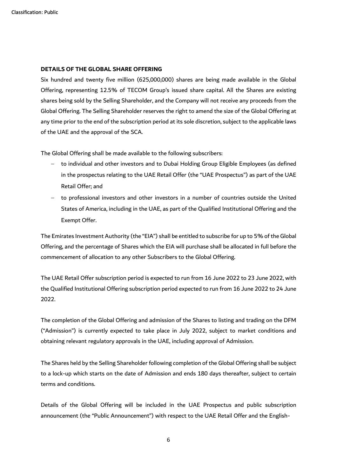#### **DETAILS OF THE GLOBAL SHARE OFFERING**

Six hundred and twenty five million (625,000,000) shares are being made available in the Global Offering, representing 12.5% of TECOM Group's issued share capital. All the Shares are existing shares being sold by the Selling Shareholder, and the Company will not receive any proceeds from the Global Offering. The Selling Shareholder reserves the right to amend the size of the Global Offering at any time prior to the end of the subscription period at its sole discretion, subject to the applicable laws of the UAE and the approval of the SCA.

The Global Offering shall be made available to the following subscribers:

- − to individual and other investors and to Dubai Holding Group Eligible Employees (as defined in the prospectus relating to the UAE Retail Offer (the "UAE Prospectus") as part of the UAE Retail Offer; and
- − to professional investors and other investors in a number of countries outside the United States of America, including in the UAE, as part of the Qualified Institutional Offering and the Exempt Offer.

The Emirates Investment Authority (the "EIA") shall be entitled to subscribe for up to 5% of the Global Offering, and the percentage of Shares which the EIA will purchase shall be allocated in full before the commencement of allocation to any other Subscribers to the Global Offering.

The UAE Retail Offer subscription period is expected to run from 16 June 2022 to 23 June 2022, with the Qualified Institutional Offering subscription period expected to run from 16 June 2022 to 24 June 2022.

The completion of the Global Offering and admission of the Shares to listing and trading on the DFM ("Admission") is currently expected to take place in July 2022, subject to market conditions and obtaining relevant regulatory approvals in the UAE, including approval of Admission.

The Shares held by the Selling Shareholder following completion of the Global Offering shall be subject to a lock-up which starts on the date of Admission and ends 180 days thereafter, subject to certain terms and conditions.

Details of the Global Offering will be included in the UAE Prospectus and public subscription announcement (the "Public Announcement") with respect to the UAE Retail Offer and the English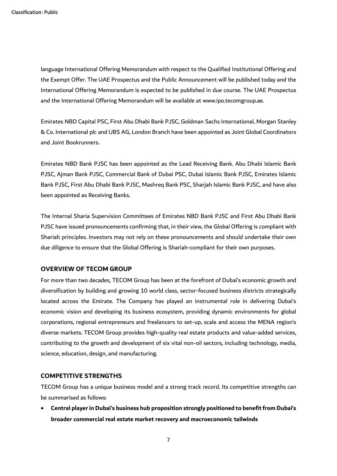language International Offering Memorandum with respect to the Qualified Institutional Offering and the Exempt Offer. The UAE Prospectus and the Public Announcement will be published today and the International Offering Memorandum is expected to be published in due course. The UAE Prospectus and the International Offering Memorandum will be available at www.ipo.tecomgroup.ae.

Emirates NBD Capital PSC, First Abu Dhabi Bank PJSC, Goldman Sachs International, Morgan Stanley & Co. International plc and UBS AG, London Branch have been appointed as Joint Global Coordinators and Joint Bookrunners.

Emirates NBD Bank PJSC has been appointed as the Lead Receiving Bank. Abu Dhabi Islamic Bank PJSC, Ajman Bank PJSC, Commercial Bank of Dubai PSC, Dubai Islamic Bank PJSC, Emirates Islamic Bank PJSC, First Abu Dhabi Bank PJSC, Mashreq Bank PSC, Sharjah Islamic Bank PJSC, and have also been appointed as Receiving Banks.

The Internal Sharia Supervision Committees of Emirates NBD Bank PJSC and First Abu Dhabi Bank PJSC have issued pronouncements confirming that, in their view, the Global Offering is compliant with Shariah principles. Investors may not rely on these pronouncements and should undertake their own due diligence to ensure that the Global Offering is Shariah-compliant for their own purposes.

### **OVERVIEW OF TECOM GROUP**

For more than two decades, TECOM Group has been at the forefront of Dubai's economic growth and diversification by building and growing 10 world class, sector-focused business districts strategically located across the Emirate. The Company has played an instrumental role in delivering Dubai's economic vision and developing its business ecosystem, providing dynamic environments for global corporations, regional entrepreneurs and freelancers to set-up, scale and access the MENA region's diverse markets. TECOM Group provides high-quality real estate products and value-added services, contributing to the growth and development of six vital non-oil sectors, including technology, media, science, education, design, and manufacturing.

### **COMPETITIVE STRENGTHS**

TECOM Group has a unique business model and a strong track record. Its competitive strengths can be summarised as follows:

• **Central player in Dubai's business hub proposition strongly positioned to benefit from Dubai's broader commercial real estate market recovery and macroeconomic tailwinds**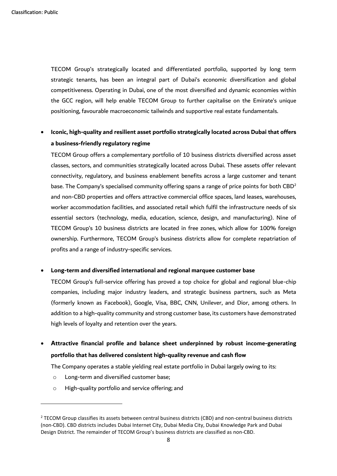TECOM Group's strategically located and differentiated portfolio, supported by long term strategic tenants, has been an integral part of Dubai's economic diversification and global competitiveness. Operating in Dubai, one of the most diversified and dynamic economies within the GCC region, will help enable TECOM Group to further capitalise on the Emirate's unique positioning, favourable macroeconomic tailwinds and supportive real estate fundamentals.

# • **Iconic, high-quality and resilient asset portfolio strategically located across Dubai that offers a business-friendly regulatory regime**

TECOM Group offers a complementary portfolio of 10 business districts diversified across asset classes, sectors, and communities strategically located across Dubai. These assets offer relevant connectivity, regulatory, and business enablement benefits across a large customer and tenant base. The Company's specialised community offering spans a range of price points for both  $CBD^2$ and non-CBD properties and offers attractive commercial office spaces, land leases, warehouses, worker accommodation facilities, and associated retail which fulfil the infrastructure needs of six essential sectors (technology, media, education, science, design, and manufacturing). Nine of TECOM Group's 10 business districts are located in free zones, which allow for 100% foreign ownership. Furthermore, TECOM Group's business districts allow for complete repatriation of profits and a range of industry-specific services.

#### • **Long-term and diversified international and regional marquee customer base**

TECOM Group's full-service offering has proved a top choice for global and regional blue-chip companies, including major industry leaders, and strategic business partners, such as Meta (formerly known as Facebook), Google, Visa, BBC, CNN, Unilever, and Dior, among others. In addition to a high-quality community and strong customer base, its customers have demonstrated high levels of loyalty and retention over the years.

• **Attractive financial profile and balance sheet underpinned by robust income-generating portfolio that has delivered consistent high-quality revenue and cash flow**

The Company operates a stable yielding real estate portfolio in Dubai largely owing to its:

- o Long-term and diversified customer base;
- o High-quality portfolio and service offering; and

<sup>&</sup>lt;sup>2</sup> TECOM Group classifies its assets between central business districts (CBD) and non-central business districts (non-CBD). CBD districts includes Dubai Internet City, Dubai Media City, Dubai Knowledge Park and Dubai Design District. The remainder of TECOM Group's business districts are classified as non-CBD.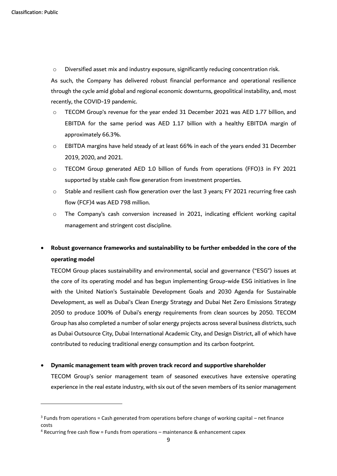o Diversified asset mix and industry exposure, significantly reducing concentration risk.

As such, the Company has delivered robust financial performance and operational resilience through the cycle amid global and regional economic downturns, geopolitical instability, and, most recently, the COVID-19 pandemic.

- o TECOM Group's revenue for the year ended 31 December 2021 was AED 1.77 billion, and EBITDA for the same period was AED 1.17 billion with a healthy EBITDA margin of approximately 66.3%.
- $\circ$  EBITDA margins have held steady of at least 66% in each of the years ended 31 December 2019, 2020, and 2021.
- o TECOM Group generated AED 1.0 billion of funds from operations (FFO)3 in FY 2021 supported by stable cash flow generation from investment properties.
- o Stable and resilient cash flow generation over the last 3 years; FY 2021 recurring free cash flow (FCF)4 was AED 798 million.
- o The Company's cash conversion increased in 2021, indicating efficient working capital management and stringent cost discipline.

# • **Robust governance frameworks and sustainability to be further embedded in the core of the operating model**

TECOM Group places sustainability and environmental, social and governance ("ESG") issues at the core of its operating model and has begun implementing Group-wide ESG initiatives in line with the United Nation's Sustainable Development Goals and 2030 Agenda for Sustainable Development, as well as Dubai's Clean Energy Strategy and Dubai Net Zero Emissions Strategy 2050 to produce 100% of Dubai's energy requirements from clean sources by 2050. TECOM Group has also completed a number of solar energy projects across several business districts, such as Dubai Outsource City, Dubai International Academic City, and Design District, all of which have contributed to reducing traditional energy consumption and its carbon footprint.

### • **Dynamic management team with proven track record and supportive shareholder**

TECOM Group's senior management team of seasoned executives have extensive operating experience in the real estate industry, with six out of the seven members of its senior management

 $3$  Funds from operations = Cash generated from operations before change of working capital – net finance costs

 $4$  Recurring free cash flow = Funds from operations  $-$  maintenance & enhancement capex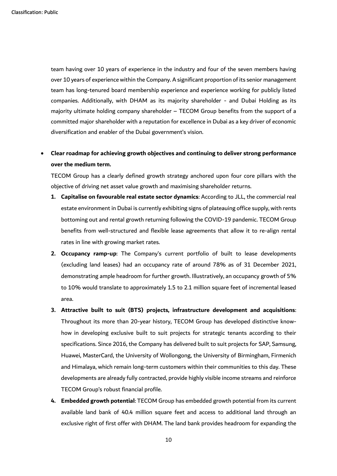team having over 10 years of experience in the industry and four of the seven members having over 10 years of experience within the Company. A significant proportion of its senior management team has long-tenured board membership experience and experience working for publicly listed companies. Additionally, with DHAM as its majority shareholder - and Dubai Holding as its majority ultimate holding company shareholder – TECOM Group benefits from the support of a committed major shareholder with a reputation for excellence in Dubai as a key driver of economic diversification and enabler of the Dubai government's vision.

# • **Clear roadmap for achieving growth objectives and continuing to deliver strong performance over the medium term.**

TECOM Group has a clearly defined growth strategy anchored upon four core pillars with the objective of driving net asset value growth and maximising shareholder returns.

- **1. Capitalise on favourable real estate sector dynamics**: According to JLL, the commercial real estate environment in Dubai is currently exhibiting signs of plateauing office supply, with rents bottoming out and rental growth returning following the COVID-19 pandemic. TECOM Group benefits from well-structured and flexible lease agreements that allow it to re-align rental rates in line with growing market rates.
- **2. Occupancy ramp-up**: The Company's current portfolio of built to lease developments (excluding land leases) had an occupancy rate of around 78% as of 31 December 2021, demonstrating ample headroom for further growth. Illustratively, an occupancy growth of 5% to 10% would translate to approximately 1.5 to 2.1 million square feet of incremental leased area.
- **3. Attractive built to suit (BTS) projects, infrastructure development and acquisitions**: Throughout its more than 20-year history, TECOM Group has developed distinctive knowhow in developing exclusive built to suit projects for strategic tenants according to their specifications. Since 2016, the Company has delivered built to suit projects for SAP, Samsung, Huawei, MasterCard, the University of Wollongong, the University of Birmingham, Firmenich and Himalaya, which remain long-term customers within their communities to this day. These developments are already fully contracted, provide highly visible income streams and reinforce TECOM Group's robust financial profile.
- **4. Embedded growth potential**: TECOM Group has embedded growth potential from its current available land bank of 40.4 million square feet and access to additional land through an exclusive right of first offer with DHAM. The land bank provides headroom for expanding the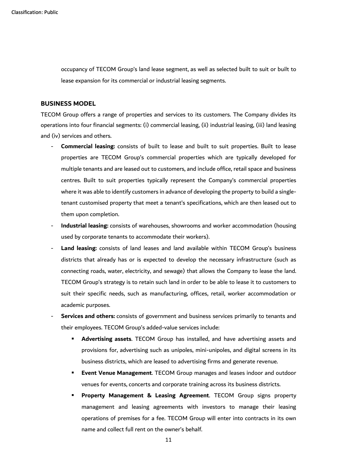occupancy of TECOM Group's land lease segment, as well as selected built to suit or built to lease expansion for its commercial or industrial leasing segments.

### **BUSINESS MODEL**

TECOM Group offers a range of properties and services to its customers. The Company divides its operations into four financial segments: (i) commercial leasing, (ii) industrial leasing, (iii) land leasing and (iv) services and others.

- **Commercial leasing:** consists of built to lease and built to suit properties. Built to lease properties are TECOM Group's commercial properties which are typically developed for multiple tenants and are leased out to customers, and include office, retail space and business centres. Built to suit properties typically represent the Company's commercial properties where it was able to identify customers in advance of developing the property to build a singletenant customised property that meet a tenant's specifications, which are then leased out to them upon completion.
- **Industrial leasing:** consists of warehouses, showrooms and worker accommodation (housing used by corporate tenants to accommodate their workers).
- Land leasing: consists of land leases and land available within TECOM Group's business districts that already has or is expected to develop the necessary infrastructure (such as connecting roads, water, electricity, and sewage) that allows the Company to lease the land. TECOM Group's strategy is to retain such land in order to be able to lease it to customers to suit their specific needs, such as manufacturing, offices, retail, worker accommodation or academic purposes.
- **Services and others:** consists of government and business services primarily to tenants and their employees. TECOM Group's added-value services include:
	- **Advertising assets**. TECOM Group has installed, and have advertising assets and provisions for, advertising such as unipoles, mini-unipoles, and digital screens in its business districts, which are leased to advertising firms and generate revenue.
	- **Event Venue Management.** TECOM Group manages and leases indoor and outdoor venues for events, concerts and corporate training across its business districts.
	- **Property Management & Leasing Agreement**. TECOM Group signs property management and leasing agreements with investors to manage their leasing operations of premises for a fee. TECOM Group will enter into contracts in its own name and collect full rent on the owner's behalf.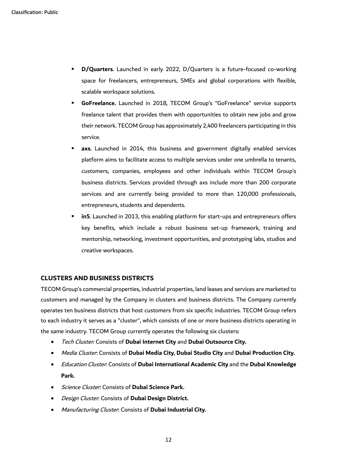- **D/Quarters**. Launched in early 2022, D/Quarters is a future-focused co-working space for freelancers, entrepreneurs, SMEs and global corporations with flexible, scalable workspace solutions.
- **GoFreelance.** Launched in 2018, TECOM Group's "GoFreelance" service supports freelance talent that provides them with opportunities to obtain new jobs and grow their network. TECOM Group has approximately 2,400 freelancers participating in this service.
- axs. Launched in 2014, this business and government digitally enabled services platform aims to facilitate access to multiple services under one umbrella to tenants, customers, companies, employees and other individuals within TECOM Group's business districts. Services provided through axs include more than 200 corporate services and are currently being provided to more than 120,000 professionals, entrepreneurs, students and dependents.
- in5. Launched in 2013, this enabling platform for start-ups and entrepreneurs offers key benefits, which include a robust business set-up framework, training and mentorship, networking, investment opportunities, and prototyping labs, studios and creative workspaces.

### **CLUSTERS AND BUSINESS DISTRICTS**

TECOM Group's commercial properties, industrial properties, land leases and services are marketed to customers and managed by the Company in clusters and business districts. The Company currently operates ten business districts that host customers from six specific industries. TECOM Group refers to each industry it serves as a "cluster", which consists of one or more business districts operating in the same industry. TECOM Group currently operates the following six clusters:

- Tech Cluster: Consists of **Dubai Internet City** and **Dubai Outsource City.**
- Media Cluster: Consists of **Dubai Media City**, **Dubai Studio City** and **Dubai Production City.**
- Education Cluster: Consists of **Dubai International Academic City** and the **Dubai Knowledge Park.**
- Science Cluster: Consists of **Dubai Science Park.**
- Design Cluster: Consists of **Dubai Design District.**
- Manufacturing Cluster: Consists of **Dubai Industrial City.**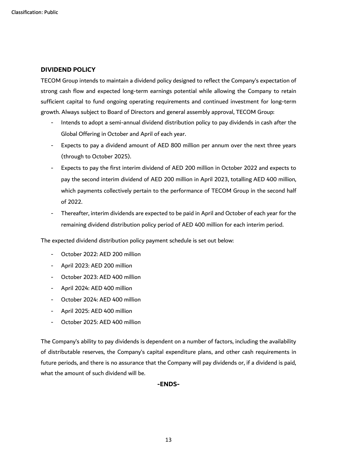### **DIVIDEND POLICY**

TECOM Group intends to maintain a dividend policy designed to reflect the Company's expectation of strong cash flow and expected long-term earnings potential while allowing the Company to retain sufficient capital to fund ongoing operating requirements and continued investment for long-term growth. Always subject to Board of Directors and general assembly approval, TECOM Group:

- Intends to adopt a semi-annual dividend distribution policy to pay dividends in cash after the Global Offering in October and April of each year.
- Expects to pay a dividend amount of AED 800 million per annum over the next three years (through to October 2025).
- Expects to pay the first interim dividend of AED 200 million in October 2022 and expects to pay the second interim dividend of AED 200 million in April 2023, totalling AED 400 million, which payments collectively pertain to the performance of TECOM Group in the second half of 2022.
- Thereafter, interim dividends are expected to be paid in April and October of each year for the remaining dividend distribution policy period of AED 400 million for each interim period.

The expected dividend distribution policy payment schedule is set out below:

- October 2022: AED 200 million
- April 2023: AED 200 million
- October 2023: AED 400 million
- April 2024: AED 400 million
- October 2024: AED 400 million
- April 2025: AED 400 million
- October 2025: AED 400 million

The Company's ability to pay dividends is dependent on a number of factors, including the availability of distributable reserves, the Company's capital expenditure plans, and other cash requirements in future periods, and there is no assurance that the Company will pay dividends or, if a dividend is paid, what the amount of such dividend will be.

### **-ENDS-**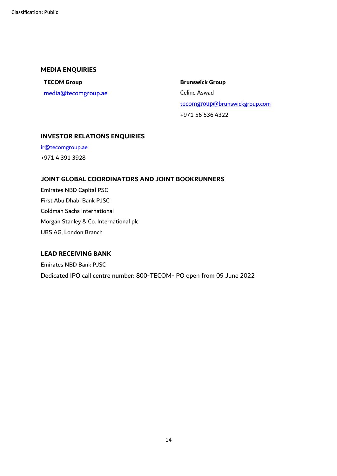### **MEDIA ENQUIRIES**

**TECOM Group Brunswick Group** [media@tecomgroup.ae](mailto:media@tecomgroup.ae) Celine Aswad

tecomgroup[@brunswickgroup.com](mailto:tecomgroup@brunswickgroup.com) +971 56 536 4322

## **INVESTOR RELATIONS ENQUIRIES**

[ir@tecomgroup.ae](mailto:ir@tecomgroup.ae) +971 4 391 3928

### **JOINT GLOBAL COORDINATORS AND JOINT BOOKRUNNERS**

Emirates NBD Capital PSC First Abu Dhabi Bank PJSC Goldman Sachs International Morgan Stanley & Co. International plc UBS AG, London Branch

### **LEAD RECEIVING BANK**

Emirates NBD Bank PJSC Dedicated IPO call centre number: 800-TECOM-IPO open from 09 June 2022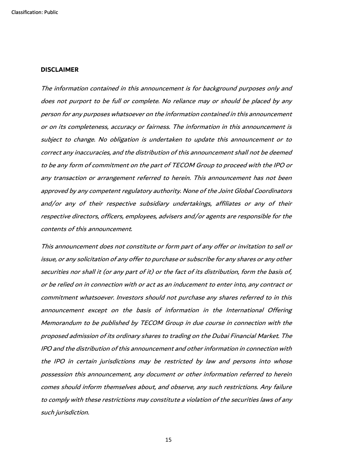#### **DISCLAIMER**

The information contained in this announcement is for background purposes only and does not purport to be full or complete. No reliance may or should be placed by any person for any purposes whatsoever on the information contained in this announcement or on its completeness, accuracy or fairness. The information in this announcement is subject to change. No obligation is undertaken to update this announcement or to correct any inaccuracies, and the distribution of this announcement shall not be deemed to be any form of commitment on the part of TECOM Group to proceed with the IPO or any transaction or arrangement referred to herein. This announcement has not been approved by any competent regulatory authority. None of the Joint Global Coordinators and/or any of their respective subsidiary undertakings, affiliates or any of their respective directors, officers, employees, advisers and/or agents are responsible for the contents of this announcement.

This announcement does not constitute or form part of any offer or invitation to sell or issue, or any solicitation of any offer to purchase or subscribe for any shares or any other securities nor shall it (or any part of it) or the fact of its distribution, form the basis of, or be relied on in connection with or act as an inducement to enter into, any contract or commitment whatsoever. Investors should not purchase any shares referred to in this announcement except on the basis of information in the International Offering Memorandum to be published by TECOM Group in due course in connection with the proposed admission of its ordinary shares to trading on the Dubai Financial Market. The IPO and the distribution of this announcement and other information in connection with the IPO in certain jurisdictions may be restricted by law and persons into whose possession this announcement, any document or other information referred to herein comes should inform themselves about, and observe, any such restrictions. Any failure to comply with these restrictions may constitute a violation of the securities laws of any such jurisdiction.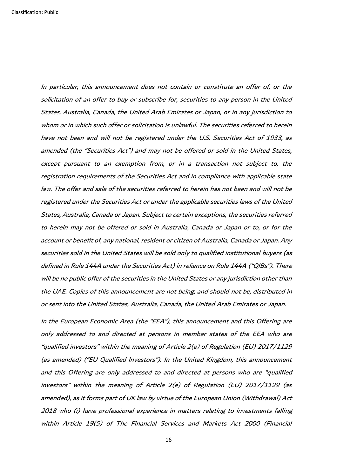In particular, this announcement does not contain or constitute an offer of, or the solicitation of an offer to buy or subscribe for, securities to any person in the United States, Australia, Canada, the United Arab Emirates or Japan, or in any jurisdiction to whom or in which such offer or solicitation is unlawful. The securities referred to herein have not been and will not be registered under the U.S. Securities Act of 1933, as amended (the "Securities Act") and may not be offered or sold in the United States, except pursuant to an exemption from, or in a transaction not subject to, the registration requirements of the Securities Act and in compliance with applicable state law. The offer and sale of the securities referred to herein has not been and will not be registered under the Securities Act or under the applicable securities laws of the United States, Australia, Canada or Japan. Subject to certain exceptions, the securities referred to herein may not be offered or sold in Australia, Canada or Japan or to, or for the account or benefit of, any national, resident or citizen of Australia, Canada or Japan. Any securities sold in the United States will be sold only to qualified institutional buyers (as defined in Rule 144A under the Securities Act) in reliance on Rule 144A ("QIBs"). There will be no public offer of the securities in the United States or any jurisdiction other than the UAE. Copies of this announcement are not being, and should not be, distributed in or sent into the United States, Australia, Canada, the United Arab Emirates or Japan.

In the European Economic Area (the "EEA"), this announcement and this Offering are only addressed to and directed at persons in member states of the EEA who are "qualified investors" within the meaning of Article 2(e) of Regulation (EU) 2017/1129 (as amended) ("EU Qualified Investors"). In the United Kingdom, this announcement and this Offering are only addressed to and directed at persons who are "qualified investors" within the meaning of Article 2(e) of Regulation (EU) 2017/1129 (as amended), as it forms part of UK law by virtue of the European Union (Withdrawal) Act 2018 who (i) have professional experience in matters relating to investments falling within Article 19(5) of The Financial Services and Markets Act 2000 (Financial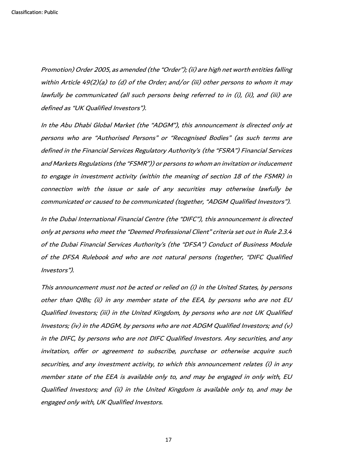Promotion) Order 2005, as amended (the "Order"); (ii) are high net worth entities falling within Article 49(2)(a) to (d) of the Order; and/or (iii) other persons to whom it may lawfully be communicated (all such persons being referred to in (i), (ii), and (iii) are defined as "UK Qualified Investors").

In the Abu Dhabi Global Market (the "ADGM"), this announcement is directed only at persons who are "Authorised Persons" or "Recognised Bodies" (as such terms are defined in the Financial Services Regulatory Authority's (the "FSRA") Financial Services and Markets Regulations (the "FSMR")) or persons to whom an invitation or inducement to engage in investment activity (within the meaning of section 18 of the FSMR) in connection with the issue or sale of any securities may otherwise lawfully be communicated or caused to be communicated (together, "ADGM Qualified Investors").

In the Dubai International Financial Centre (the "DIFC"), this announcement is directed only at persons who meet the "Deemed Professional Client" criteria set out in Rule 2.3.4 of the Dubai Financial Services Authority's (the "DFSA") Conduct of Business Module of the DFSA Rulebook and who are not natural persons (together, "DIFC Qualified Investors").

This announcement must not be acted or relied on (i) in the United States, by persons other than QIBs; (ii) in any member state of the EEA, by persons who are not EU Qualified Investors; (iii) in the United Kingdom, by persons who are not UK Qualified Investors; (iv) in the ADGM, by persons who are not ADGM Qualified Investors; and  $(v)$ in the DIFC, by persons who are not DIFC Qualified Investors. Any securities, and any invitation, offer or agreement to subscribe, purchase or otherwise acquire such securities, and any investment activity, to which this announcement relates (i) in any member state of the EEA is available only to, and may be engaged in only with, EU Qualified Investors; and (ii) in the United Kingdom is available only to, and may be engaged only with, UK Qualified Investors.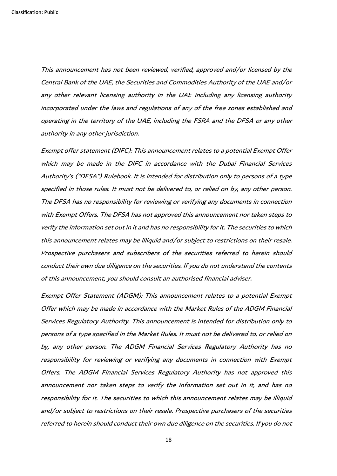This announcement has not been reviewed, verified, approved and/or licensed by the Central Bank of the UAE, the Securities and Commodities Authority of the UAE and/or any other relevant licensing authority in the UAE including any licensing authority incorporated under the laws and regulations of any of the free zones established and operating in the territory of the UAE, including the FSRA and the DFSA or any other authority in any other jurisdiction.

Exempt offer statement (DIFC): This announcement relates to a potential Exempt Offer which may be made in the DIFC in accordance with the Dubai Financial Services Authority's ("DFSA") Rulebook. It is intended for distribution only to persons of a type specified in those rules. It must not be delivered to, or relied on by, any other person. The DFSA has no responsibility for reviewing or verifying any documents in connection with Exempt Offers. The DFSA has not approved this announcement nor taken steps to verify the information set out in it and has no responsibility for it. The securities to which this announcement relates may be illiquid and/or subject to restrictions on their resale. Prospective purchasers and subscribers of the securities referred to herein should conduct their own due diligence on the securities. If you do not understand the contents of this announcement, you should consult an authorised financial adviser.

Exempt Offer Statement (ADGM): This announcement relates to a potential Exempt Offer which may be made in accordance with the Market Rules of the ADGM Financial Services Regulatory Authority. This announcement is intended for distribution only to persons of a type specified in the Market Rules. It must not be delivered to, or relied on by, any other person. The ADGM Financial Services Regulatory Authority has no responsibility for reviewing or verifying any documents in connection with Exempt Offers. The ADGM Financial Services Regulatory Authority has not approved this announcement nor taken steps to verify the information set out in it, and has no responsibility for it. The securities to which this announcement relates may be illiquid and/or subject to restrictions on their resale. Prospective purchasers of the securities referred to herein should conduct their own due diligence on the securities. If you do not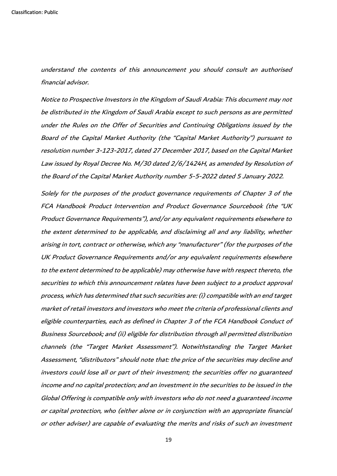Classification: Public

understand the contents of this announcement you should consult an authorised financial advisor.

Notice to Prospective Investors in the Kingdom of Saudi Arabia: This document may not be distributed in the Kingdom of Saudi Arabia except to such persons as are permitted under the Rules on the Offer of Securities and Continuing Obligations issued by the Board of the Capital Market Authority (the "Capital Market Authority") pursuant to resolution number 3-123-2017, dated 27 December 2017, based on the Capital Market Law issued by Royal Decree No. M/30 dated 2/6/1424H, as amended by Resolution of the Board of the Capital Market Authority number 5-5-2022 dated 5 January 2022.

Solely for the purposes of the product governance requirements of Chapter 3 of the FCA Handbook Product Intervention and Product Governance Sourcebook (the "UK Product Governance Requirements"), and/or any equivalent requirements elsewhere to the extent determined to be applicable, and disclaiming all and any liability, whether arising in tort, contract or otherwise, which any "manufacturer" (for the purposes of the UK Product Governance Requirements and/or any equivalent requirements elsewhere to the extent determined to be applicable) may otherwise have with respect thereto, the securities to which this announcement relates have been subject to a product approval process, which has determined that such securities are: (i) compatible with an end target market of retail investors and investors who meet the criteria of professional clients and eligible counterparties, each as defined in Chapter 3 of the FCA Handbook Conduct of Business Sourcebook; and (ii) eligible for distribution through all permitted distribution channels (the "Target Market Assessment"). Notwithstanding the Target Market Assessment, "distributors" should note that: the price of the securities may decline and investors could lose all or part of their investment; the securities offer no guaranteed income and no capital protection; and an investment in the securities to be issued in the Global Offering is compatible only with investors who do not need a guaranteed income or capital protection, who (either alone or in conjunction with an appropriate financial or other adviser) are capable of evaluating the merits and risks of such an investment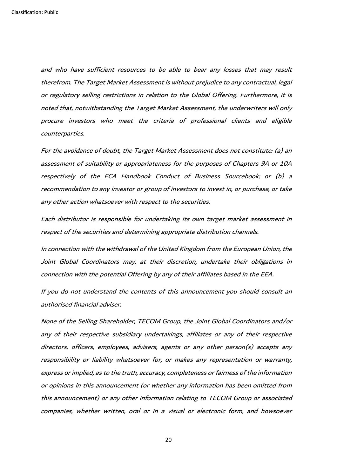and who have sufficient resources to be able to bear any losses that may result therefrom. The Target Market Assessment is without prejudice to any contractual, legal or regulatory selling restrictions in relation to the Global Offering. Furthermore, it is noted that, notwithstanding the Target Market Assessment, the underwriters will only procure investors who meet the criteria of professional clients and eligible counterparties.

For the avoidance of doubt, the Target Market Assessment does not constitute: (a) an assessment of suitability or appropriateness for the purposes of Chapters 9A or 10A respectively of the FCA Handbook Conduct of Business Sourcebook; or (b) a recommendation to any investor or group of investors to invest in, or purchase, or take any other action whatsoever with respect to the securities.

Each distributor is responsible for undertaking its own target market assessment in respect of the securities and determining appropriate distribution channels.

In connection with the withdrawal of the United Kingdom from the European Union, the Joint Global Coordinators may, at their discretion, undertake their obligations in connection with the potential Offering by any of their affiliates based in the EEA.

If you do not understand the contents of this announcement you should consult an authorised financial adviser.

None of the Selling Shareholder, TECOM Group, the Joint Global Coordinators and/or any of their respective subsidiary undertakings, affiliates or any of their respective directors, officers, employees, advisers, agents or any other person(s) accepts any responsibility or liability whatsoever for, or makes any representation or warranty, express or implied, as to the truth, accuracy, completeness or fairness of the information or opinions in this announcement (or whether any information has been omitted from this announcement) or any other information relating to TECOM Group or associated companies, whether written, oral or in a visual or electronic form, and howsoever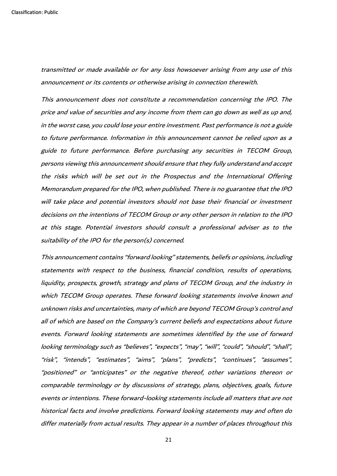transmitted or made available or for any loss howsoever arising from any use of this announcement or its contents or otherwise arising in connection therewith.

This announcement does not constitute a recommendation concerning the IPO. The price and value of securities and any income from them can go down as well as up and, in the worst case, you could lose your entire investment. Past performance is not a guide to future performance. Information in this announcement cannot be relied upon as a guide to future performance. Before purchasing any securities in TECOM Group, persons viewing this announcement should ensure that they fully understand and accept the risks which will be set out in the Prospectus and the International Offering Memorandum prepared for the IPO, when published. There is no guarantee that the IPO will take place and potential investors should not base their financial or investment decisions on the intentions of TECOM Group or any other person in relation to the IPO at this stage. Potential investors should consult a professional adviser as to the suitability of the IPO for the person(s) concerned.

This announcement contains "forward looking" statements, beliefs or opinions, including statements with respect to the business, financial condition, results of operations, liquidity, prospects, growth, strategy and plans of TECOM Group, and the industry in which TECOM Group operates. These forward looking statements involve known and unknown risks and uncertainties, many of which are beyond TECOM Group's control and all of which are based on the Company's current beliefs and expectations about future events. Forward looking statements are sometimes identified by the use of forward looking terminology such as "believes", "expects", "may", "will", "could", "should", "shall", "risk", "intends", "estimates", "aims", "plans", "predicts", "continues", "assumes", "positioned" or "anticipates" or the negative thereof, other variations thereon or comparable terminology or by discussions of strategy, plans, objectives, goals, future events or intentions. These forward-looking statements include all matters that are not historical facts and involve predictions. Forward looking statements may and often do differ materially from actual results. They appear in a number of places throughout this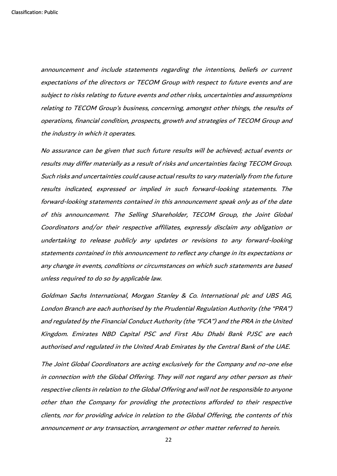announcement and include statements regarding the intentions, beliefs or current expectations of the directors or TECOM Group with respect to future events and are subject to risks relating to future events and other risks, uncertainties and assumptions relating to TECOM Group's business, concerning, amongst other things, the results of operations, financial condition, prospects, growth and strategies of TECOM Group and the industry in which it operates.

No assurance can be given that such future results will be achieved; actual events or results may differ materially as a result of risks and uncertainties facing TECOM Group. Such risks and uncertainties could cause actual results to vary materially from the future results indicated, expressed or implied in such forward-looking statements. The forward-looking statements contained in this announcement speak only as of the date of this announcement. The Selling Shareholder, TECOM Group, the Joint Global Coordinators and/or their respective affiliates, expressly disclaim any obligation or undertaking to release publicly any updates or revisions to any forward-looking statements contained in this announcement to reflect any change in its expectations or any change in events, conditions or circumstances on which such statements are based unless required to do so by applicable law.

Goldman Sachs International, Morgan Stanley & Co. International plc and UBS AG, London Branch are each authorised by the Prudential Regulation Authority (the "PRA") and regulated by the Financial Conduct Authority (the "FCA") and the PRA in the United Kingdom. Emirates NBD Capital PSC and First Abu Dhabi Bank PJSC are each authorised and regulated in the United Arab Emirates by the Central Bank of the UAE.

The Joint Global Coordinators are acting exclusively for the Company and no-one else in connection with the Global Offering. They will not regard any other person as their respective clients in relation to the Global Offering and will not be responsible to anyone other than the Company for providing the protections afforded to their respective clients, nor for providing advice in relation to the Global Offering, the contents of this announcement or any transaction, arrangement or other matter referred to herein.